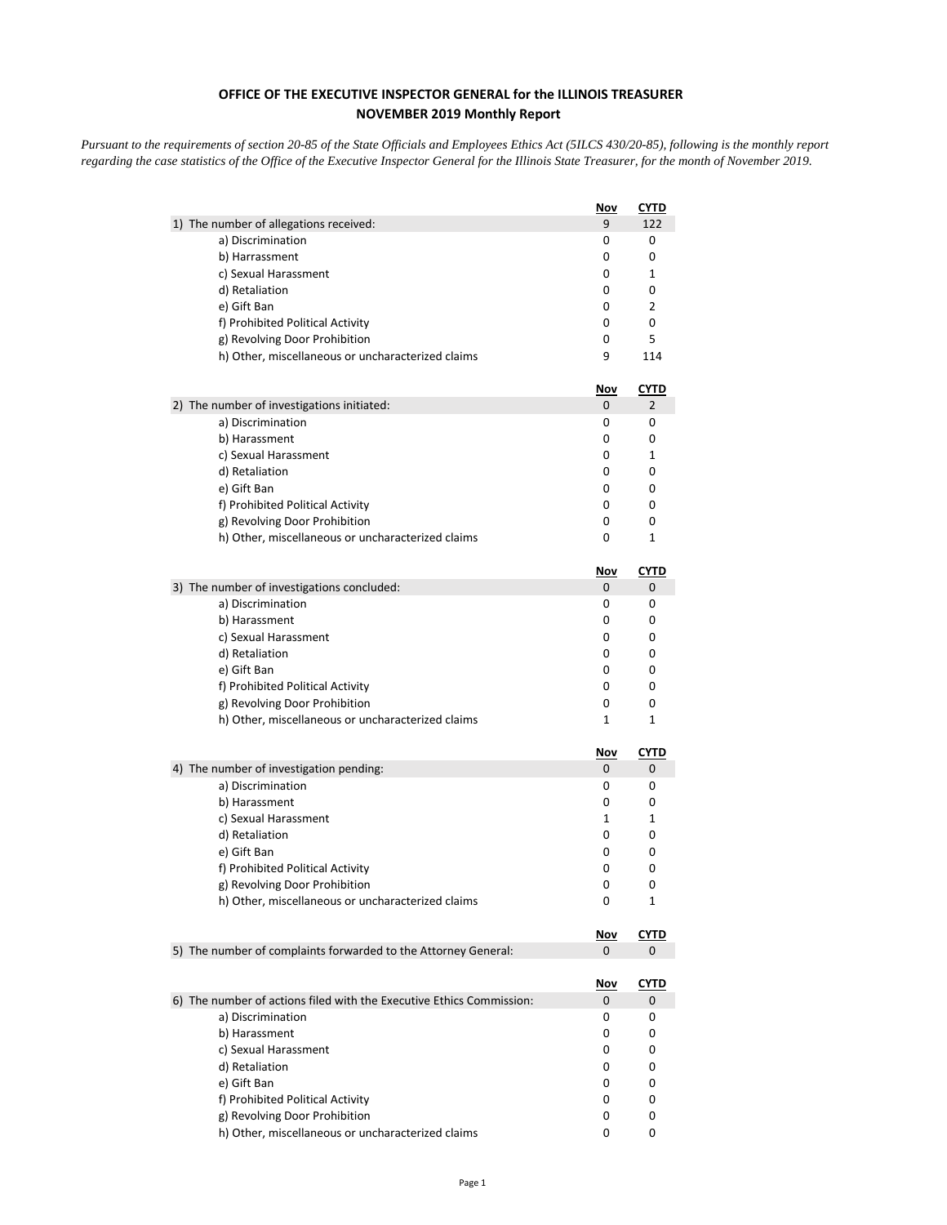## **OFFICE OF THE EXECUTIVE INSPECTOR GENERAL for the ILLINOIS TREASURER NOVEMBER 2019 Monthly Report**

*Pursuant to the requirements of section 20-85 of the State Officials and Employees Ethics Act (5ILCS 430/20-85), following is the monthly report regarding the case statistics of the Office of the Executive Inspector General for the Illinois State Treasurer, for the month of November 2019.* 

|                                                                      | <u>Nov</u>      | <b>CYTD</b>      |
|----------------------------------------------------------------------|-----------------|------------------|
| 1) The number of allegations received:                               | 9               | 122              |
| a) Discrimination                                                    | 0               | 0                |
| b) Harrassment                                                       | 0               | 0                |
| c) Sexual Harassment                                                 | 0               | 1                |
| d) Retaliation                                                       | 0               | 0                |
| e) Gift Ban                                                          | 0               | 2                |
| f) Prohibited Political Activity                                     | 0               | 0                |
| g) Revolving Door Prohibition                                        | 0               | 5                |
| h) Other, miscellaneous or uncharacterized claims                    | 9               | 114              |
|                                                                      | Nov             | <u>CYTD</u>      |
| 2) The number of investigations initiated:                           | 0               | 2                |
| a) Discrimination                                                    | 0               | 0                |
| b) Harassment                                                        | 0               | 0                |
| c) Sexual Harassment                                                 | 0               | 1                |
| d) Retaliation                                                       | 0               | 0                |
| e) Gift Ban                                                          | 0               | 0                |
| f) Prohibited Political Activity                                     | 0               | 0                |
| g) Revolving Door Prohibition                                        | 0               | 0                |
| h) Other, miscellaneous or uncharacterized claims                    | 0               | 1                |
|                                                                      | Nov             | <b>CYTD</b>      |
| 3) The number of investigations concluded:                           | 0               | 0                |
| a) Discrimination                                                    | 0               | 0                |
| b) Harassment                                                        | 0               | 0                |
| c) Sexual Harassment                                                 | 0               | 0                |
| d) Retaliation                                                       | 0               | 0                |
| e) Gift Ban                                                          | 0               | 0                |
| f) Prohibited Political Activity                                     | 0               | 0                |
| g) Revolving Door Prohibition                                        | 0               | 0                |
| h) Other, miscellaneous or uncharacterized claims                    | 1               | 1                |
|                                                                      | <u>Nov</u>      | <b>CYTD</b>      |
| 4) The number of investigation pending:                              | 0               | 0                |
| a) Discrimination                                                    | 0               | 0                |
| b) Harassment                                                        | 0               | 0                |
| c) Sexual Harassment                                                 | 1               | 1                |
| d) Retaliation                                                       | 0               | 0                |
| e) Gift Ban                                                          | 0               | 0                |
| f) Prohibited Political Activity                                     | 0               | 0                |
| g) Revolving Door Prohibition                                        | 0               | 0                |
| h) Other, miscellaneous or uncharacterized claims                    | 0               | 1                |
|                                                                      | <u>Nov</u>      | <b>CYTD</b>      |
| 5) The number of complaints forwarded to the Attorney General:       | 0               | 0                |
|                                                                      |                 |                  |
| 6) The number of actions filed with the Executive Ethics Commission: | <u>Nov</u><br>0 | <u>CYTD</u><br>0 |
| a) Discrimination                                                    | 0               | 0                |
| b) Harassment                                                        | 0               | 0                |
| c) Sexual Harassment                                                 | 0               | 0                |
| d) Retaliation                                                       | 0               | 0                |
| e) Gift Ban                                                          | 0               | 0                |
| f) Prohibited Political Activity                                     | 0               | 0                |
| g) Revolving Door Prohibition                                        | 0               | 0                |
| h) Other, miscellaneous or uncharacterized claims                    | 0               | 0                |